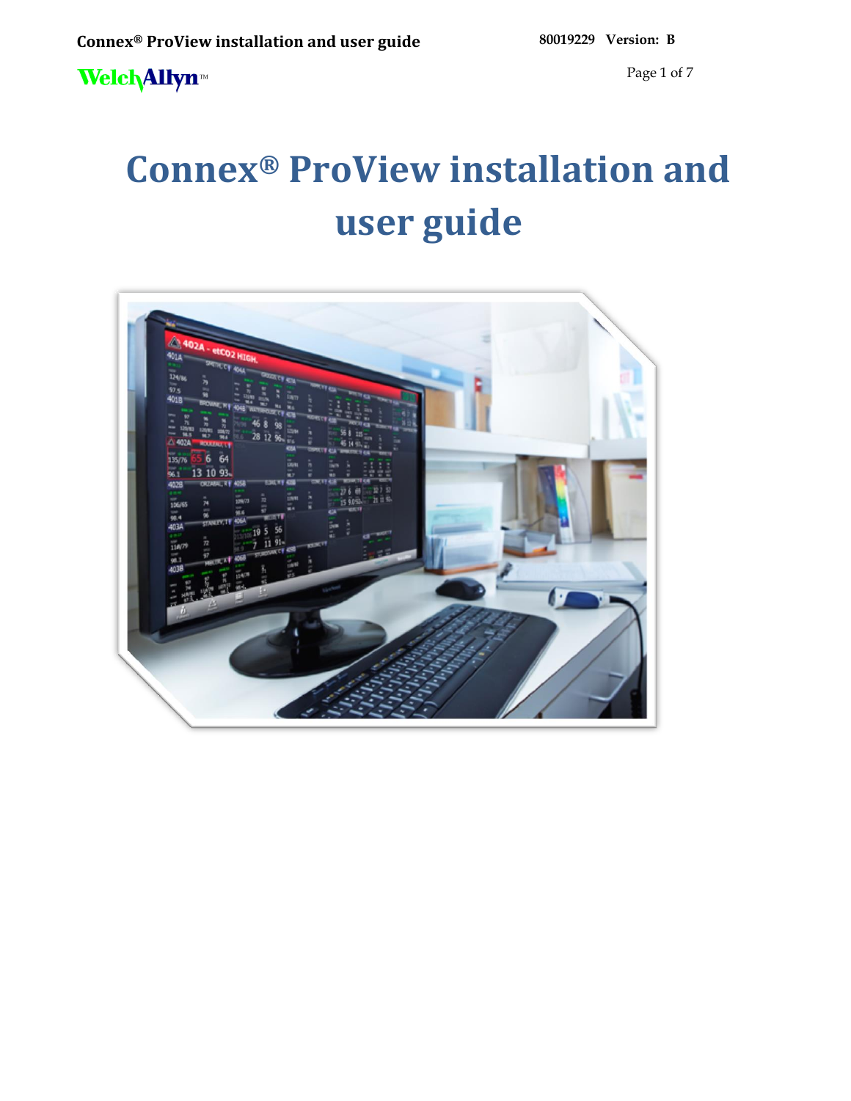Page 1 of 7

# **Connex® ProView installation and user guide**

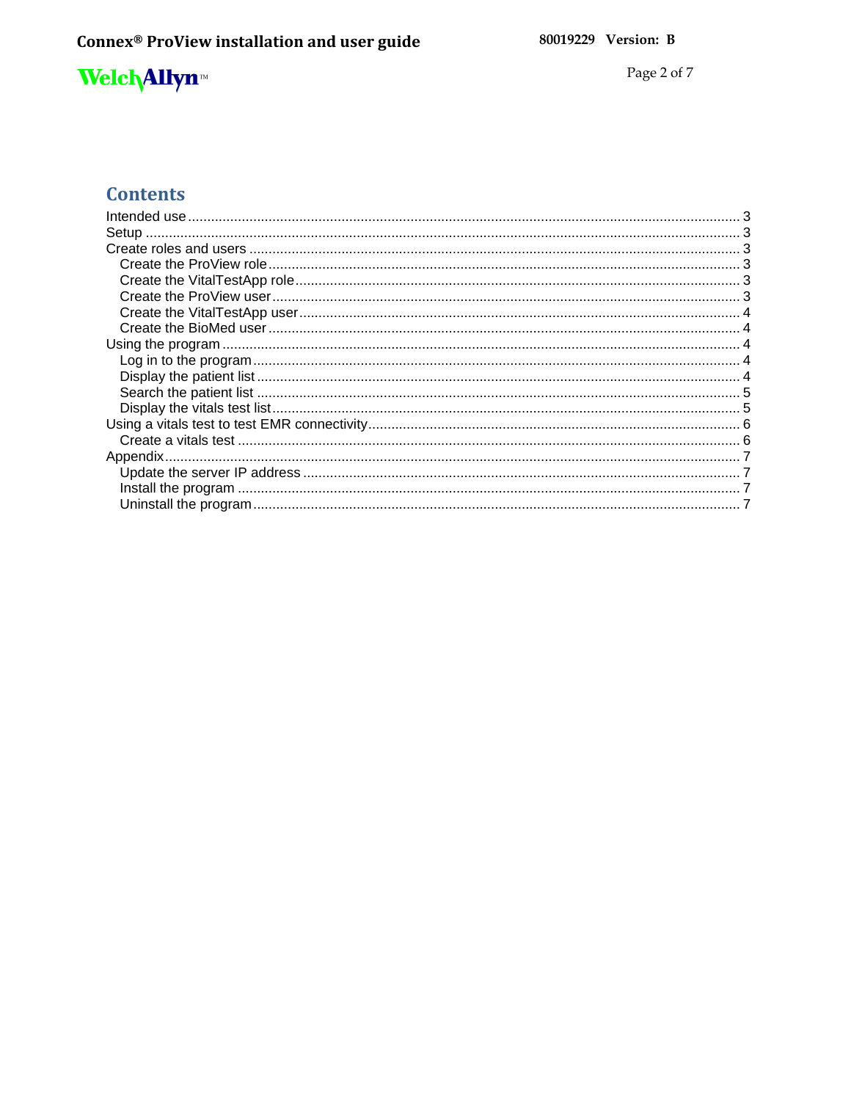Page 2 of  $7\,$ 

### **Contents**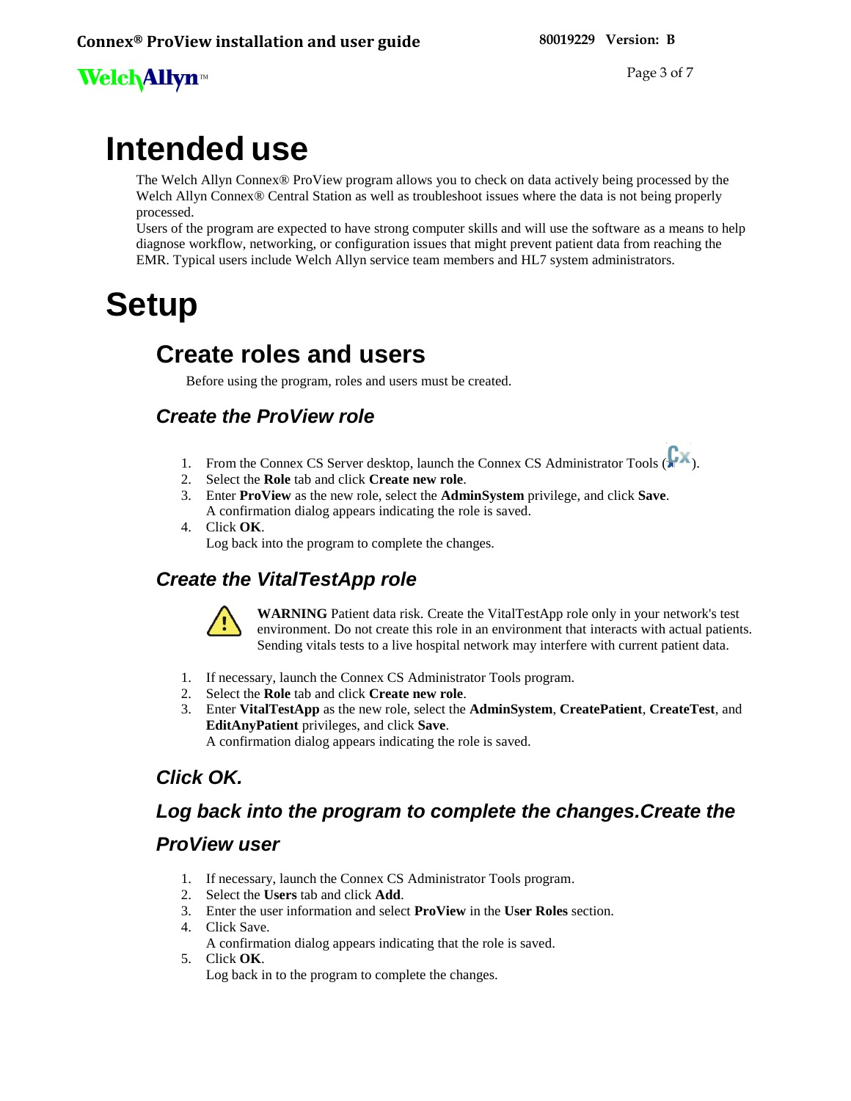Page 3 of 7

# <span id="page-2-0"></span>**Intended use**

The Welch Allyn Connex® ProView program allows you to check on data actively being processed by the Welch Allyn Connex® Central Station as well as troubleshoot issues where the data is not being properly processed.

Users of the program are expected to have strong computer skills and will use the software as a means to help diagnose workflow, networking, or configuration issues that might prevent patient data from reaching the EMR. Typical users include Welch Allyn service team members and HL7 system administrators.

# <span id="page-2-2"></span><span id="page-2-1"></span>**Setup**

### **Create roles and users**

Before using the program, roles and users must be created.

### <span id="page-2-3"></span>*Create the ProView role*

- 1. From the Connex CS Server desktop, launch the Connex CS Administrator Tools ( $\overrightarrow{a}$ ).
- 2. Select the **Role** tab and click **Create new role**.
- 3. Enter **ProView** as the new role, select the **AdminSystem** privilege, and click **Save**. A confirmation dialog appears indicating the role is saved.
- 4. Click **OK**. Log back into the program to complete the changes.

### <span id="page-2-4"></span>*Create the VitalTestApp role*



<span id="page-2-5"></span>**WARNING** Patient data risk. Create the VitalTestApp role only in your network's test environment. Do not create this role in an environment that interacts with actual patients. Sending vitals tests to a live hospital network may interfere with current patient data.

- 1. If necessary, launch the Connex CS Administrator Tools program.
- 2. Select the **Role** tab and click **Create new role**.
- 3. Enter **VitalTestApp** as the new role, select the **AdminSystem**, **CreatePatient**, **CreateTest**, and **EditAnyPatient** privileges, and click **Save**.

A confirmation dialog appears indicating the role is saved.

### *Click OK.*

### *Log back into the program to complete the changes.Create the*

#### *ProView user*

- 1. If necessary, launch the Connex CS Administrator Tools program.
- 2. Select the **Users** tab and click **Add**.
- 3. Enter the user information and select **ProView** in the **User Roles** section.
- 4. Click Save.
	- A confirmation dialog appears indicating that the role is saved.
- 5. Click **OK**.
	- Log back in to the program to complete the changes.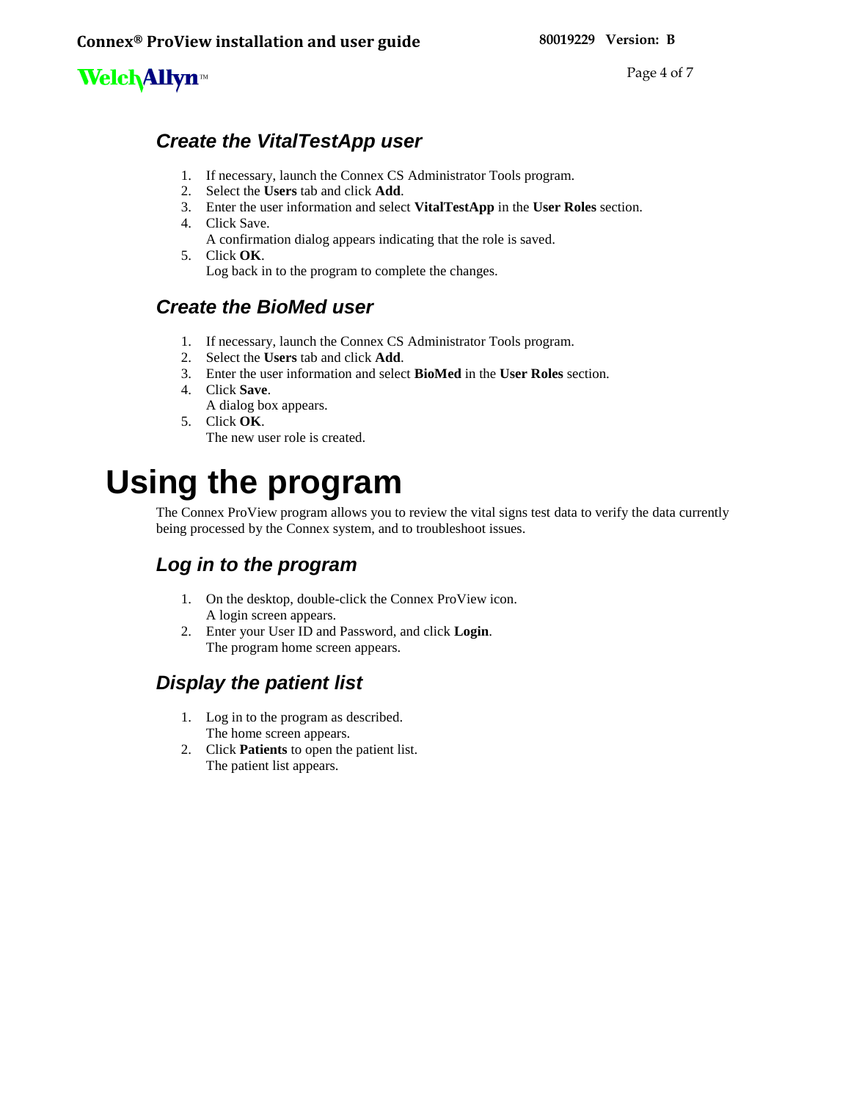Page 4 of 7

### <span id="page-3-0"></span>*Create the VitalTestApp user*

- 1. If necessary, launch the Connex CS Administrator Tools program.
- 2. Select the **Users** tab and click **Add**.
- 3. Enter the user information and select **VitalTestApp** in the **User Roles** section.
- 4. Click Save.
	- A confirmation dialog appears indicating that the role is saved.
- 5. Click **OK**. Log back in to the program to complete the changes.

#### <span id="page-3-1"></span>*Create the BioMed user*

- 1. If necessary, launch the Connex CS Administrator Tools program.
- 2. Select the **Users** tab and click **Add**.
- 3. Enter the user information and select **BioMed** in the **User Roles** section.
- 4. Click **Save**. A dialog box appears.
- 5. Click **OK**. The new user role is created.

# <span id="page-3-2"></span>**Using the program**

The Connex ProView program allows you to review the vital signs test data to verify the data currently being processed by the Connex system, and to troubleshoot issues.

### <span id="page-3-3"></span>*Log in to the program*

- 1. On the desktop, double-click the Connex ProView icon. A login screen appears.
- 2. Enter your User ID and Password, and click **Login**. The program home screen appears.

### <span id="page-3-4"></span>*Display the patient list*

- 1. Log in to the program as described. The home screen appears.
- 2. Click **Patients** to open the patient list. The patient list appears.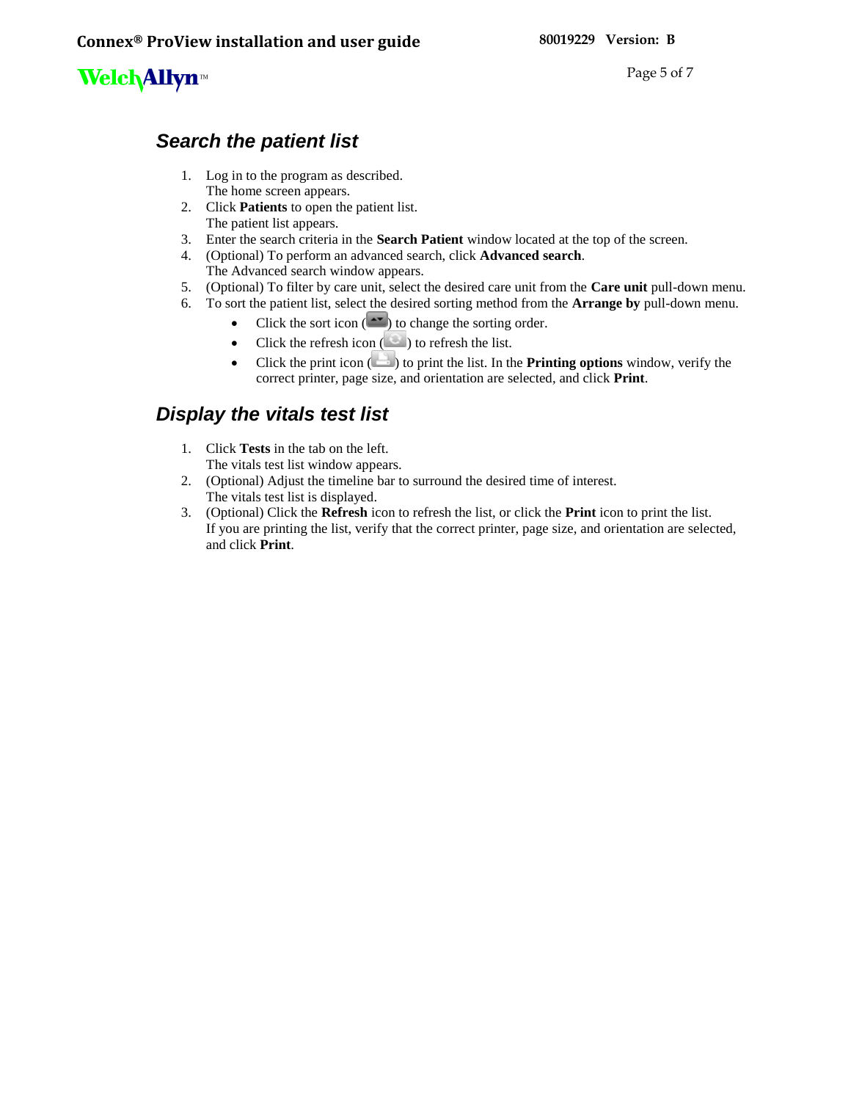Page 5 of 7

#### <span id="page-4-0"></span>*Search the patient list*

- 1. Log in to the program as described. The home screen appears.
- 2. Click **Patients** to open the patient list. The patient list appears.
- 3. Enter the search criteria in the **Search Patient** window located at the top of the screen.
- 4. (Optional) To perform an advanced search, click **Advanced search**. The Advanced search window appears.
- 5. (Optional) To filter by care unit, select the desired care unit from the **Care unit** pull-down menu.
- 6. To sort the patient list, select the desired sorting method from the **Arrange by** pull-down menu.
	- Click the sort icon  $($   $\bullet \bullet \bullet)$  to change the sorting order.
	- Click the refresh icon  $($   $)$  to refresh the list.
	- Click the print icon ( $\Box$ ) to print the list. In the **Printing options** window, verify the correct printer, page size, and orientation are selected, and click **Print**.

#### <span id="page-4-1"></span>*Display the vitals test list*

- 1. Click **Tests** in the tab on the left. The vitals test list window appears.
- 2. (Optional) Adjust the timeline bar to surround the desired time of interest. The vitals test list is displayed.
- 3. (Optional) Click the **Refresh** icon to refresh the list, or click the **Print** icon to print the list. If you are printing the list, verify that the correct printer, page size, and orientation are selected, and click **Print**.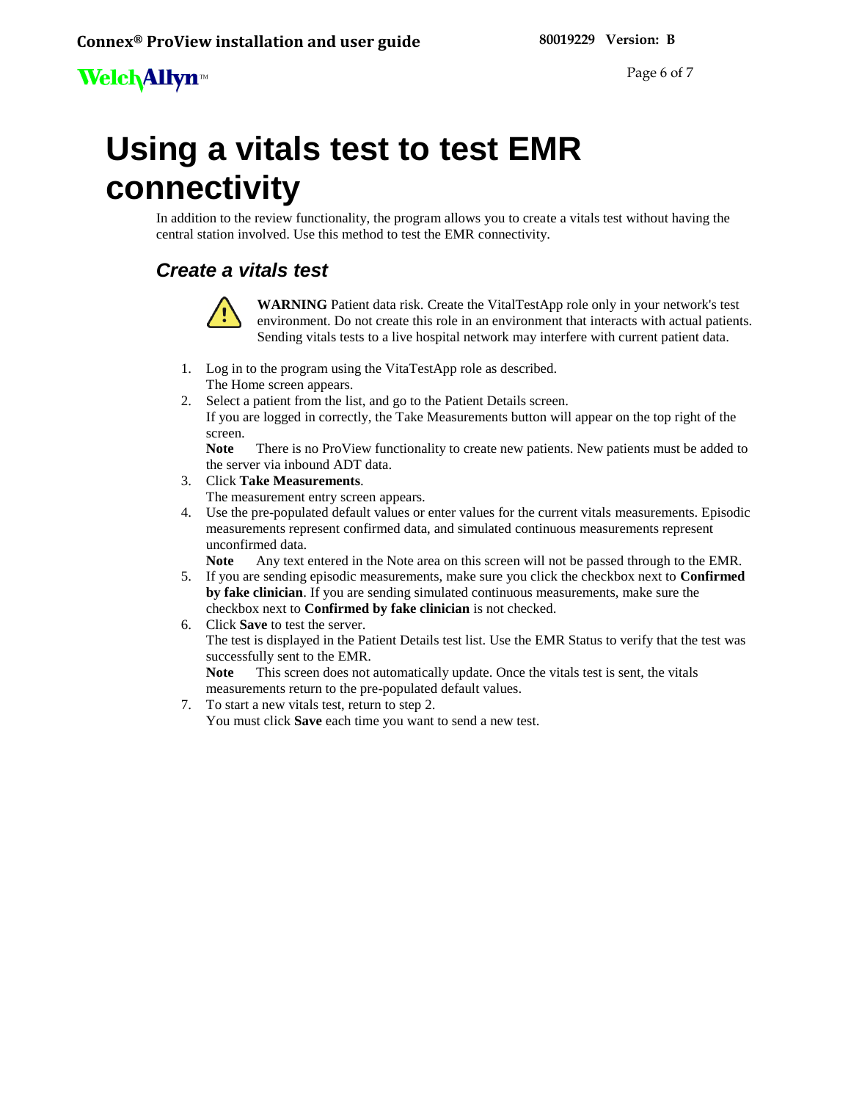# <span id="page-5-0"></span>**Using a vitals test to test EMR connectivity**

In addition to the review functionality, the program allows you to create a vitals test without having the central station involved. Use this method to test the EMR connectivity.

### <span id="page-5-1"></span>*Create a vitals test*



**WARNING** Patient data risk. Create the VitalTestApp role only in your network's test environment. Do not create this role in an environment that interacts with actual patients. Sending vitals tests to a live hospital network may interfere with current patient data.

- 1. Log in to the program using the VitaTestApp role as described.
	- The Home screen appears.
- 2. Select a patient from the list, and go to the Patient Details screen. If you are logged in correctly, the Take Measurements button will appear on the top right of the screen.

Note There is no ProView functionality to create new patients. New patients must be added to the server via inbound ADT data.

- 3. Click **Take Measurements**.
- The measurement entry screen appears.
- 4. Use the pre-populated default values or enter values for the current vitals measurements. Episodic measurements represent confirmed data, and simulated continuous measurements represent unconfirmed data.

**Note** Any text entered in the Note area on this screen will not be passed through to the EMR.

- 5. If you are sending episodic measurements, make sure you click the checkbox next to **Confirmed by fake clinician**. If you are sending simulated continuous measurements, make sure the checkbox next to **Confirmed by fake clinician** is not checked.
- 6. Click **Save** to test the server. The test is displayed in the Patient Details test list. Use the EMR Status to verify that the test was successfully sent to the EMR.

**Note** This screen does not automatically update. Once the vitals test is sent, the vitals measurements return to the pre-populated default values.

7. To start a new vitals test, return to step 2. You must click **Save** each time you want to send a new test.